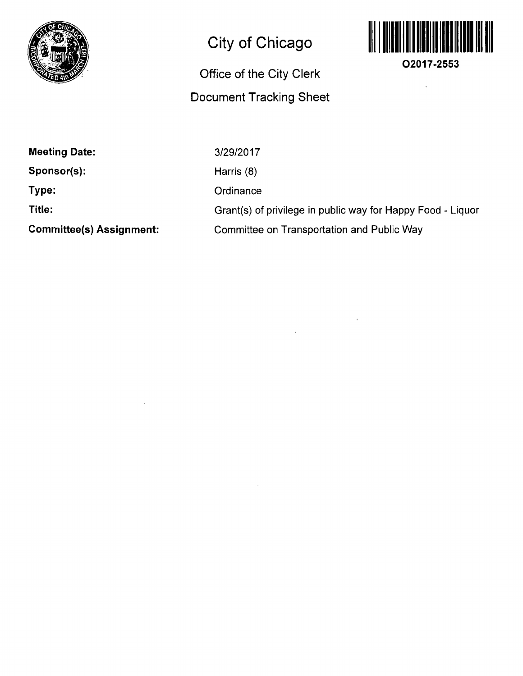

## **City of Chicago**

## **Office of the City Clerk Docunnent Tracking Sheet**



**O2017-2553** 

 $\ddot{\phantom{a}}$ 

| <b>Meeting Date:</b> |  |
|----------------------|--|
| Sponsor(s):          |  |
| Type:                |  |

**Title:** 

**Committee(s) Assignment:** 

3/29/2017 Harris (8) **Ordinance** Grant(s) of privilege in public way for Happy Food - Liquor Comnnittee on Transportation and Public Way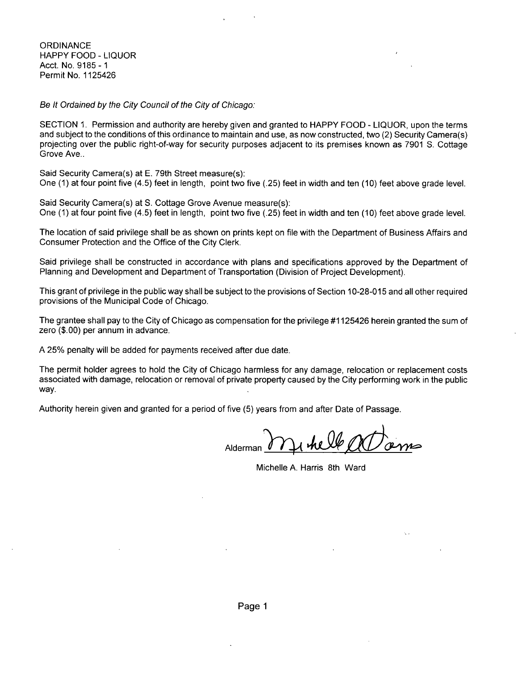**ORDINANCE** HAPPY FOOD - LIQUOR Acct. No. 9185-1 Pernnit No. 1125426

Be It Ordained by the City Council of the City of Chicago:

SECTION 1. Permission and authority are hereby given and granted to HAPPY FOOD - LIQUOR, upon the terms and subject to the conditions of this ordinance to maintain and use, as now constructed, two (2) Security Camera(s) projecting over the public right-of-way for security purposes adjacent to its premises known as 7901 S. Cottage Grove Ave..

Said Security Camera(s) at E. 79th Street measure(s): One (1) at four point five (4.5) feet in length, point two five (.25) feet in width and ten (10) feet above grade level. One (1) at four point five (4.5) feet in length, point two five (.25) feet in width and ten (10) feet above grade level.

Said Security Camera(s) at S. Cottage Grove Avenue measure(s): One  $(1)$  at four point five  $(4.5)$  feet in length, point two five  $(.25)$  feet in width and ten  $(10)$  feet above grade level.

The location of said privilege shall be as shown on prints kept on file with the Department of Business Affairs and Consumer Protection and the Office of the City Clerk.

Said privilege shall be constructed in accordance with plans and specifications approved by the Department of Planning and Development and Department of Transportation (Division of Project Development).

This grant of privilege in the public way shall be subject to the provisions of Section 10-28-015 and all other required provisions of the Municipal Code of Chicago.

The grantee shall pay to the City of Chicago as compensation forthe privilege #1125426 herein granted the sum of zero (\$.00) per annum in advance.

A 25% penalty will be added for payments received after due date.

The permit holder agrees to hold the City of Chicago harmless for any damage, relocation or replacement costs associated with damage, relocation or removal of private property caused by the City performing work in the public way.

Authority herein given and granted for a period of five (5) years from and after Date of Passage.

**Alderman** 

A.

Michelle A. Harris 8th Ward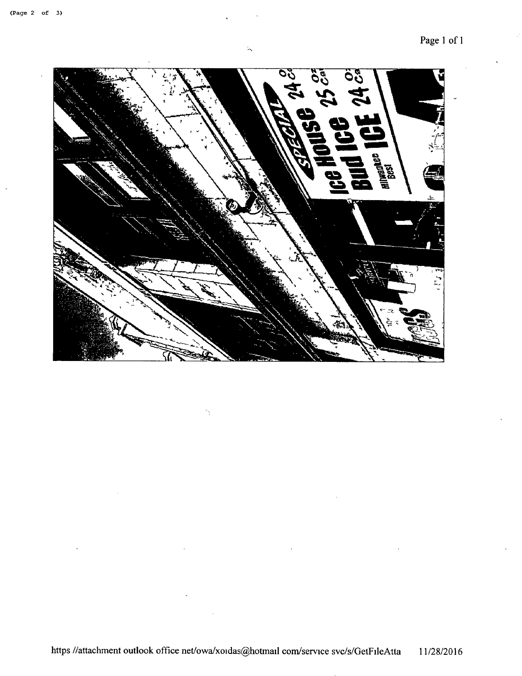

 $\ddot{\phantom{a}}$